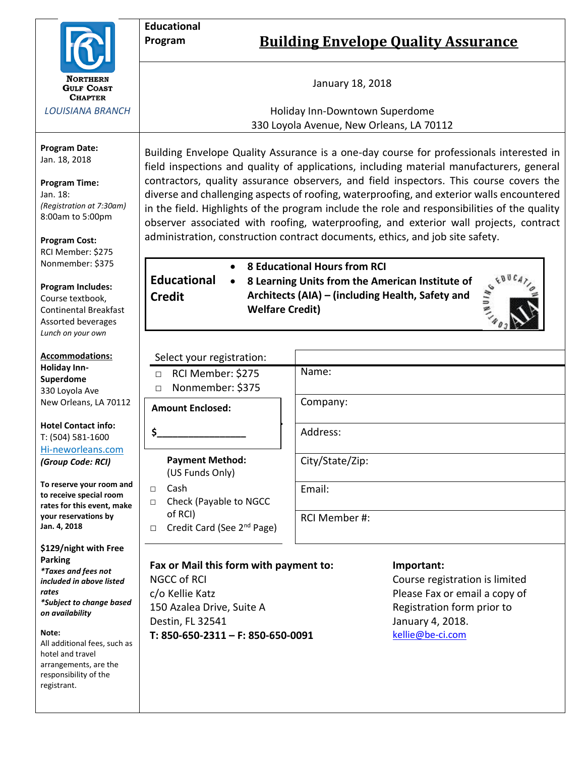

*LOUISIANA BRANCH*

**Program Date:** Jan. 18, 2018

### **Program Time:**

Jan. 18: *(Registration at 7:30am)* 8:00am to 5:00pm

**Program Cost:** RCI Member: \$275 Nonmember: \$375

**Program Includes:**

Course textbook, Continental Breakfast Assorted beverages *Lunch on your own*

**Accommodations: Holiday Inn-Superdome** 330 Loyola Ave New Orleans, LA 70112

**Hotel Contact info:** T: (504) 581-1600 Hi-neworleans.com *(Group Code: RCI)*

**To reserve your room and to receive special room rates for this event, make your reservations by Jan. 4, 2018**

**\$129/night with Free Parking** *\*Taxes and fees not included in above listed rates \*Subject to change based on availability*

#### **Note:**

All additional fees, such as hotel and travel arrangements, are the responsibility of the registrant.

Building Envelope Quality Assurance is a one-day course for professionals interested in field inspections and quality of applications, including material manufacturers, general contractors, quality assurance observers, and field inspectors. This course covers the diverse and challenging aspects of roofing, waterproofing, and exterior walls encountered in the field. Highlights of the program include the role and responsibilities of the quality observer associated with roofing, waterproofing, and exterior wall projects, contract administration, construction contract documents, ethics, and job site safety.

• **8 Educational Hours from RCI**

**Educational Credit**

• **8 Learning Units from the American Institute of Architects (AIA) – (including Health, Safety and Welfare Credit)**



| Select your registration:                                 |                 |
|-----------------------------------------------------------|-----------------|
| RCI Member: \$275<br>$\Box$<br>Nonmember: \$375<br>$\Box$ | Name:           |
| <b>Amount Enclosed:</b>                                   | Company:        |
| \$.                                                       | Address:        |
| <b>Payment Method:</b><br>(US Funds Only)                 | City/State/Zip: |
| Cash<br>Л                                                 | Email:          |
| Check (Payable to NGCC<br>$\Box$                          |                 |
| of RCI)                                                   | RCI Member #:   |

□ Credit Card (See 2<sup>nd</sup> Page)

# **Fax or Mail this form with payment to:**

NGCC of RCI c/o Kellie Katz 150 Azalea Drive, Suite A Destin, FL 32541 **T: 850-650-2311 – F: 850-650-0091**

## **Important:**

Course registration is limited Please Fax or email a copy of Registration form prior to January 4, 2018. [kellie@be-ci.com](mailto:kellie@be-ci.com)

**Educational**

# **Program Building Envelope Quality Assurance**

January 18, 2018

Holiday Inn-Downtown Superdome 330 Loyola Avenue, New Orleans, LA 70112